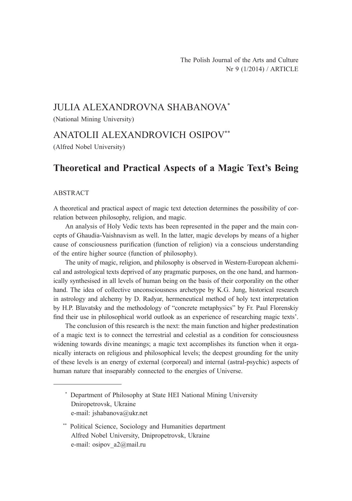# JULIA ALEXANDROVNA SHABANOVA\*

(National Mining University)

### ANATOLII ALEXANDROVICH OSIPOV\*\*

(Alfred Nobel University)

## **Theoretical and Practical Aspects of a Magic Text's Being**

#### ABSTRACT

A theoretical and practical aspect of magic text detection determines the possibility of correlation between philosophy, religion, and magic.

An analysis of Holy Vedic texts has been represented in the paper and the main concepts of Ghaudia-Vaishnavism as well. In the latter, magic develops by means of a higher cause of consciousness purification (function of religion) via a conscious understanding of the entire higher source (function of philosophy).

The unity of magic, religion, and philosophy is observed in Western-European alchemical and astrological texts deprived of any pragmatic purposes, on the one hand, and harmonically synthesised in all levels of human being on the basis of their corporality on the other hand. The idea of collective unconsciousness archetype by K.G. Jung, historical research in astrology and alchemy by D. Radyar, hermeneutical method of holy text interpretation by H.P. Blavatsky and the methodology of "concrete metaphysics" by Fr. Paul Florenskiy find their use in philosophical world outlook as an experience of researching magic texts'.

The conclusion of this research is the next: the main function and higher predestination of a magic text is to connect the terrestrial and celestial as a condition for consciousness widening towards divine meanings; a magic text accomplishes its function when it organically interacts on religious and philosophical levels; the deepest grounding for the unity of these levels is an energy of external (corporeal) and internal (astral-psychic) aspects of human nature that inseparably connected to the energies of Universe.

<sup>\*</sup> Department of Philosophy at State HEI National Mining University Dniropetrovsk, Ukraine e-mail: jshabanova@ukr.net

<sup>\*\*</sup> Political Science, Sociology and Humanities department Alfred Nobel University, Dnipropetrovsk, Ukraine e-mail: osipov a2@mail.ru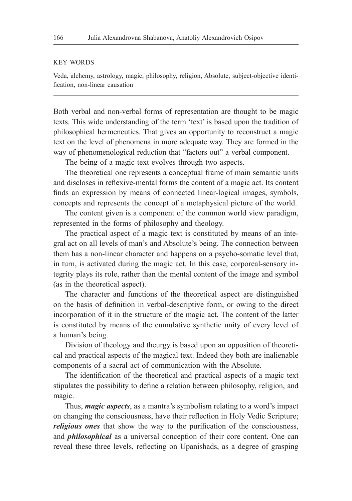#### KEY WORDS

Veda, alchemy, astrology, magic, philosophy, religion, Absolute, subject-objective identification, non-linear causation

Both verbal and non-verbal forms of representation are thought to be magic texts. This wide understanding of the term 'text' is based upon the tradition of philosophical hermeneutics. That gives an opportunity to reconstruct a magic text on the level of phenomena in more adequate way. They are formed in the way of phenomenological reduction that "factors out" a verbal component.

The being of a magic text evolves through two aspects.

The theoretical one represents a conceptual frame of main semantic units and discloses in reflexive-mental forms the content of a magic act. Its content finds an expression by means of connected linear-logical images, symbols, concepts and represents the concept of a metaphysical picture of the world.

The content given is a component of the common world view paradigm, represented in the forms of philosophy and theology.

The practical aspect of a magic text is constituted by means of an integral act on all levels of man's and Absolute's being. The connection between them has a non-linear character and happens on a psycho-somatic level that, in turn, is activated during the magic act. In this case, corporeal-sensory integrity plays its role, rather than the mental content of the image and symbol (as in the theoretical aspect).

The character and functions of the theoretical aspect are distinguished on the basis of definition in verbal-descriptive form, or owing to the direct incorporation of it in the structure of the magic act. The content of the latter is constituted by means of the cumulative synthetic unity of every level of a human's being.

Division of theology and theurgy is based upon an opposition of theoretical and practical aspects of the magical text. Indeed they both are inalienable components of a sacral act of communication with the Absolute.

The identification of the theoretical and practical aspects of a magic text stipulates the possibility to define a relation between philosophy, religion, and magic.

Thus, *magic aspects*, as a mantra's symbolism relating to a word's impact on changing the consciousness, have their reflection in Holy Vedic Scripture; *religious ones* that show the way to the purification of the consciousness, and *philosophical* as a universal conception of their core content. One can reveal these three levels, reflecting on Upanishads, as a degree of grasping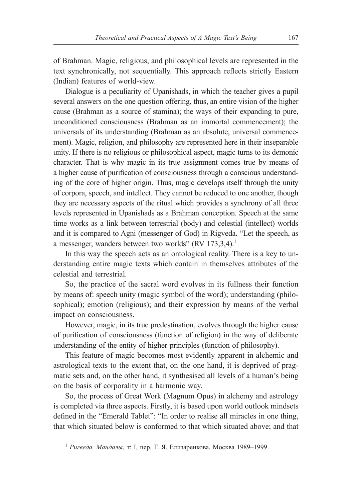of Brahman. Magic, religious, and philosophical levels are represented in the text synchronically, not sequentially. This approach reflects strictly Eastern (Indian) features of world-view.

Dialogue is a peculiarity of Upanishads, in which the teacher gives a pupil several answers on the one question offering, thus, an entire vision of the higher cause (Brahman as a source of stamina); the ways of their expanding to pure, unconditioned consciousness (Brahman as an immortal commencement); the universals of its understanding (Brahman as an absolute, universal commencement). Magic, religion, and philosophy are represented here in their inseparable unity. If there is no religious or philosophical aspect, magic turns to its demonic character. That is why magic in its true assignment comes true by means of a higher cause of purification of consciousness through a conscious understanding of the core of higher origin. Thus, magic develops itself through the unity of corpora, speech, and intellect. They cannot be reduced to one another, though they are necessary aspects of the ritual which provides a synchrony of all three levels represented in Upanishads as a Brahman conception. Speech at the same time works as a link between terrestrial (body) and celestial (intellect) worlds and it is compared to Agni (messenger of God) in Rigveda. "Let the speech, as a messenger, wanders between two worlds" (RV 173,3,4).<sup>1</sup>

In this way the speech acts as an ontological reality. There is a key to understanding entire magic texts which contain in themselves attributes of the celestial and terrestrial.

So, the practice of the sacral word evolves in its fullness their function by means of: speech unity (magic symbol of the word); understanding (philosophical); emotion (religious); and their expression by means of the verbal impact on consciousness.

However, magic, in its true predestination, evolves through the higher cause of purification of consciousness (function of religion) in the way of deliberate understanding of the entity of higher principles (function of philosophy).

This feature of magic becomes most evidently apparent in alchemic and astrological texts to the extent that, on the one hand, it is deprived of pragmatic sets and, on the other hand, it synthesised all levels of a human's being on the basis of corporality in a harmonic way.

So, the process of Great Work (Magnum Opus) in alchemy and astrology is completed via three aspects. Firstly, it is based upon world outlook mindsets defined in the "Emerald Tablet": "In order to realise all miracles in one thing, that which situated below is conformed to that which situated above; and that

<sup>1</sup> *Ригведа. Мандалы*, т: I, пер. Т. Я. Елизаренкова, Mocква 1989–1999.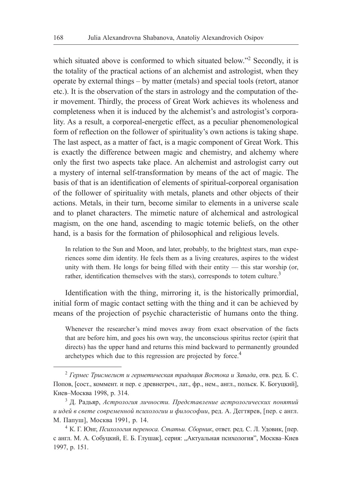which situated above is conformed to which situated below."<sup>2</sup> Secondly, it is the totality of the practical actions of an alchemist and astrologist, when they operate by external things – by matter (metals) and special tools (retort, atanor etc.). It is the observation of the stars in astrology and the computation of their movement. Thirdly, the process of Great Work achieves its wholeness and completeness when it is induced by the alchemist's and astrologist's corporality. As a result, a corporeal-energetic effect, as a peculiar phenomenological form of reflection on the follower of spirituality's own actions is taking shape. The last aspect, as a matter of fact, is a magic component of Great Work. This is exactly the difference between magic and chemistry, and alchemy where only the first two aspects take place. An alchemist and astrologist carry out a mystery of internal self-transformation by means of the act of magic. The basis of that is an identification of elements of spiritual-corporeal organisation of the follower of spirituality with metals, planets and other objects of their actions. Metals, in their turn, become similar to elements in a universe scale and to planet characters. The mimetic nature of alchemical and astrological magism, on the one hand, ascending to magic totemic beliefs, on the other hand, is a basis for the formation of philosophical and religious levels.

In relation to the Sun and Moon, and later, probably, to the brightest stars, man experiences some dim identity. He feels them as a living creatures, aspires to the widest unity with them. He longs for being filled with their entity — this star worship (or, rather, identification themselves with the stars), corresponds to totem culture.<sup>3</sup>

Identification with the thing, mirroring it, is the historically primordial, initial form of magic contact setting with the thing and it can be achieved by means of the projection of psychic characteristic of humans onto the thing.

Whenever the researcher's mind moves away from exact observation of the facts that are before him, and goes his own way, the unconscious spiritus rector (spirit that directs) has the upper hand and returns this mind backward to permanently grounded archetypes which due to this regression are projected by force.<sup>4</sup>

<sup>2</sup> *Гермес Трисмегист и герметическая традиция Востока и Запада*, отв. ред. Б. С. Попов, [сост., коммент. и пер. с древнегреч., лат., фр., нем., англ., польск. К. Богуцкий], Киев–Москва 1998, p. 314.

<sup>3</sup> Д. Радьяр, *Астрология личности. Представление астрологических понятий и идей в свете современной психологии и философии*, ред. А. Дегтярев, [пер. с англ. М. Папуш], Москва 1991, p. 14.

<sup>4</sup> К. Г. Юнг, *Психология переноса. Статьи. Сборник*, ответ. ред. С. Л. Удовик, [пер. с англ. М. А. Собуцкий, Е. Б. Глушак], серия: "Актуальная психология", Москва-Киев 1997, p. 151.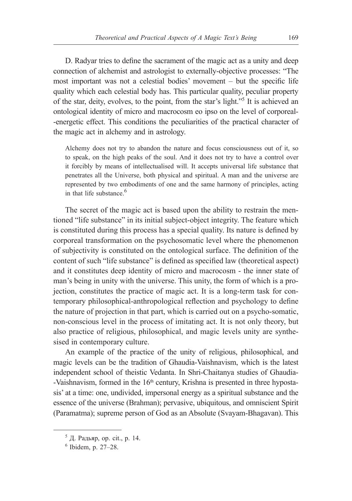D. Radyar tries to define the sacrament of the magic act as a unity and deep connection of alchemist and astrologist to externally-objective processes: "The most important was not a celestial bodies' movement – but the specific life quality which each celestial body has. This particular quality, peculiar property of the star, deity, evolves, to the point, from the star's light."<sup>5</sup> It is achieved an ontological identity of micro and macrocosm eo ipso on the level of corporeal- -energetic effect. This conditions the peculiarities of the practical character of the magic act in alchemy and in astrology.

Alchemy does not try to abandon the nature and focus consciousness out of it, so to speak, on the high peaks of the soul. And it does not try to have a control over it forcibly by means of intellectualised will. It accepts universal life substance that penetrates all the Universe, both physical and spiritual. A man and the universe are represented by two embodiments of one and the same harmony of principles, acting in that life substance.<sup>6</sup>

The secret of the magic act is based upon the ability to restrain the mentioned "life substance" in its initial subject-object integrity. The feature which is constituted during this process has a special quality. Its nature is defined by corporeal transformation on the psychosomatic level where the phenomenon of subjectivity is constituted on the ontological surface. The definition of the content of such "life substance" is defined as specified law (theoretical aspect) and it constitutes deep identity of micro and macrocosm - the inner state of man's being in unity with the universe. This unity, the form of which is a projection, constitutes the practice of magic act. It is a long-term task for contemporary philosophical-anthropological reflection and psychology to define the nature of projection in that part, which is carried out on a psycho-somatic, non-conscious level in the process of imitating act. It is not only theory, but also practice of religious, philosophical, and magic levels unity are synthesised in contemporary culture.

An example of the practice of the unity of religious, philosophical, and magic levels can be the tradition of Ghaudia-Vaishnavism, which is the latest independent school of theistic Vedanta. In Shri-Chaitanya studies of Ghaudia- -Vaishnavism, formed in the 16<sup>th</sup> century, Krishna is presented in three hypostasis' at a time: one, undivided, impersonal energy as a spiritual substance and the essence of the universe (Brahman); pervasive, ubiquitous, and omniscient Spirit (Paramatma); supreme person of God as an Absolute (Svayam-Bhagavan). This

<sup>5</sup> Д. Радьяр, op. cit., p. 14.

<sup>6</sup> Ibidem, p. 27–28.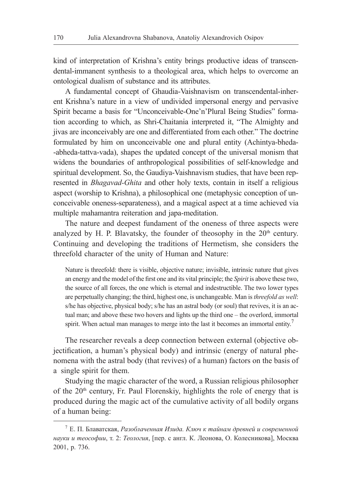kind of interpretation of Krishna's entity brings productive ideas of transcendental-immanent synthesis to a theological area, which helps to overcome an ontological dualism of substance and its attributes.

A fundamental concept of Ghaudia-Vaishnavism on transcendental-inherent Krishna's nature in a view of undivided impersonal energy and pervasive Spirit became a basis for "Unconceivable-One'n'Plural Being Studies" formation according to which, as Shri-Chaitania interpreted it, "The Almighty and jivas are inconceivably are one and differentiated from each other." The doctrine formulated by him on unconceivable one and plural entity (Achintya-bheda- -abheda-tattva-vada), shapes the updated concept of the universal monism that widens the boundaries of anthropological possibilities of self-knowledge and spiritual development. So, the Gaudiya-Vaishnavism studies, that have been represented in *Bhagavad-Ghita* and other holy texts, contain in itself a religious aspect (worship to Krishna), a philosophical one (metaphysic conception of unconceivable oneness-separateness), and a magical aspect at a time achieved via multiple mahamantra reiteration and japa-meditation.

The nature and deepest fundament of the oneness of three aspects were analyzed by H. P. Blavatsky, the founder of theosophy in the  $20<sup>th</sup>$  century. Continuing and developing the traditions of Hermetism, she considers the threefold character of the unity of Human and Nature:

Nature is threefold: there is visible, objective nature; invisible, intrinsic nature that gives an energy and the model of the first one and its vital principle; the *Spirit* is above these two, the source of all forces, the one which is eternal and indestructible. The two lower types are perpetually changing; the third, highest one, is unchangeable. Man is *threefold as well*: s/he has objective, physical body; s/he has an astral body (or soul) that revives, it is an actual man; and above these two hovers and lights up the third one – the overlord, immortal spirit. When actual man manages to merge into the last it becomes an immortal entity.<sup> $\prime$ </sup>

The researcher reveals a deep connection between external (objective objectification, a human's physical body) and intrinsic (energy of natural phenomena with the astral body (that revives) of a human) factors on the basis of a single spirit for them.

Studying the magic character of the word, a Russian religious philosopher of the  $20<sup>th</sup>$  century, Fr. Paul Florenskiy, highlights the role of energy that is produced during the magic act of the cumulative activity of all bodily organs of a human being:

<sup>7</sup> Е. П. Блаватская, *Разоблаченная Изида. Ключ к тайнам древней и современной науки и теософии*, т. 2: *Теология*, [пер. с англ. К. Леонова, О. Колесникова], Москва 2001, p. 736.